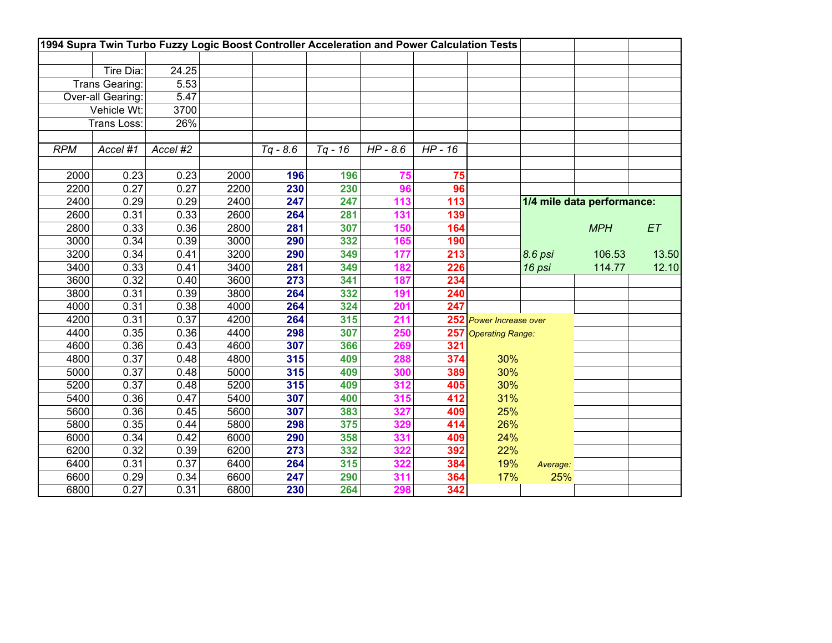|            |                    | 1994 Supra Twin Turbo Fuzzy Logic Boost Controller Acceleration and Power Calculation Tests |      |            |           |                       |           |                         |          |                            |       |
|------------|--------------------|---------------------------------------------------------------------------------------------|------|------------|-----------|-----------------------|-----------|-------------------------|----------|----------------------------|-------|
|            |                    |                                                                                             |      |            |           |                       |           |                         |          |                            |       |
|            | Tire Dia:          | 24.25                                                                                       |      |            |           |                       |           |                         |          |                            |       |
|            | Trans Gearing:     | 5.53                                                                                        |      |            |           |                       |           |                         |          |                            |       |
|            | Over-all Gearing:  | 5.47                                                                                        |      |            |           |                       |           |                         |          |                            |       |
|            | Vehicle Wt:        | 3700                                                                                        |      |            |           |                       |           |                         |          |                            |       |
|            | <b>Trans Loss:</b> | 26%                                                                                         |      |            |           |                       |           |                         |          |                            |       |
|            |                    |                                                                                             |      |            |           |                       |           |                         |          |                            |       |
| <b>RPM</b> | Accel #1           | Accel #2                                                                                    |      | $Tq - 8.6$ | $Tq - 16$ | $\overline{HP}$ - 8.6 | $HP - 16$ |                         |          |                            |       |
|            |                    |                                                                                             |      |            |           |                       |           |                         |          |                            |       |
| 2000       | 0.23               | 0.23                                                                                        | 2000 | 196        | 196       | 75                    | 75        |                         |          |                            |       |
| 2200       | 0.27               | 0.27                                                                                        | 2200 | 230        | 230       | 96                    | 96        |                         |          |                            |       |
| 2400       | 0.29               | 0.29                                                                                        | 2400 | 247        | 247       | 113                   | 113       |                         |          | 1/4 mile data performance: |       |
| 2600       | 0.31               | 0.33                                                                                        | 2600 | 264        | 281       | 131                   | 139       |                         |          |                            |       |
| 2800       | 0.33               | 0.36                                                                                        | 2800 | 281        | 307       | 150                   | 164       |                         |          | <b>MPH</b>                 | ET    |
| 3000       | 0.34               | 0.39                                                                                        | 3000 | 290        | 332       | 165                   | 190       |                         |          |                            |       |
| 3200       | 0.34               | 0.41                                                                                        | 3200 | 290        | 349       | 177                   | 213       |                         | 8.6 psi  | 106.53                     | 13.50 |
| 3400       | 0.33               | 0.41                                                                                        | 3400 | 281        | 349       | 182                   | 226       |                         | 16 psi   | 114.77                     | 12.10 |
| 3600       | 0.32               | 0.40                                                                                        | 3600 | 273        | 341       | 187                   | 234       |                         |          |                            |       |
| 3800       | 0.31               | 0.39                                                                                        | 3800 | 264        | 332       | 191                   | 240       |                         |          |                            |       |
| 4000       | 0.31               | 0.38                                                                                        | 4000 | 264        | 324       | 201                   | 247       |                         |          |                            |       |
| 4200       | 0.31               | 0.37                                                                                        | 4200 | 264        | 315       | 211                   |           | 252 Power Increase over |          |                            |       |
| 4400       | 0.35               | 0.36                                                                                        | 4400 | 298        | 307       | 250                   | 257       | <b>Operating Range:</b> |          |                            |       |
| 4600       | 0.36               | 0.43                                                                                        | 4600 | 307        | 366       | 269                   | 321       |                         |          |                            |       |
| 4800       | 0.37               | 0.48                                                                                        | 4800 | 315        | 409       | 288                   | 374       | 30%                     |          |                            |       |
| 5000       | 0.37               | 0.48                                                                                        | 5000 | 315        | 409       | 300                   | 389       | 30%                     |          |                            |       |
| 5200       | 0.37               | 0.48                                                                                        | 5200 | 315        | 409       | 312                   | 405       | 30%                     |          |                            |       |
| 5400       | 0.36               | 0.47                                                                                        | 5400 | 307        | 400       | 315                   | 412       | 31%                     |          |                            |       |
| 5600       | 0.36               | 0.45                                                                                        | 5600 | 307        | 383       | 327                   | 409       | 25%                     |          |                            |       |
| 5800       | 0.35               | 0.44                                                                                        | 5800 | 298        | 375       | 329                   | 414       | 26%                     |          |                            |       |
| 6000       | 0.34               | 0.42                                                                                        | 6000 | 290        | 358       | 331                   | 409       | 24%                     |          |                            |       |
| 6200       | 0.32               | 0.39                                                                                        | 6200 | 273        | 332       | 322                   | 392       | 22%                     |          |                            |       |
| 6400       | 0.31               | 0.37                                                                                        | 6400 | 264        | 315       | 322                   | 384       | 19%                     | Average: |                            |       |
| 6600       | 0.29               | 0.34                                                                                        | 6600 | 247        | 290       | 311                   | 364       | 17%                     | 25%      |                            |       |
| 6800       | 0.27               | 0.31                                                                                        | 6800 | 230        | 264       | 298                   | 342       |                         |          |                            |       |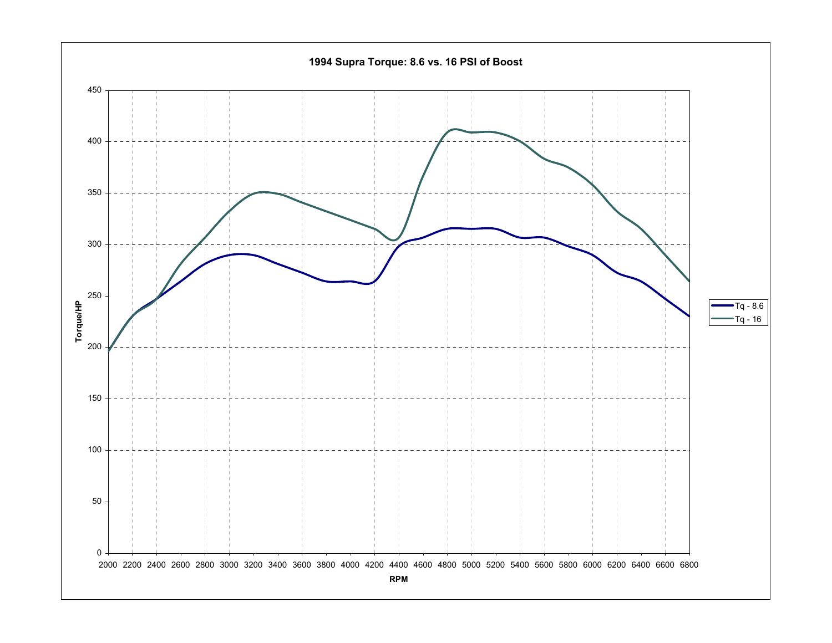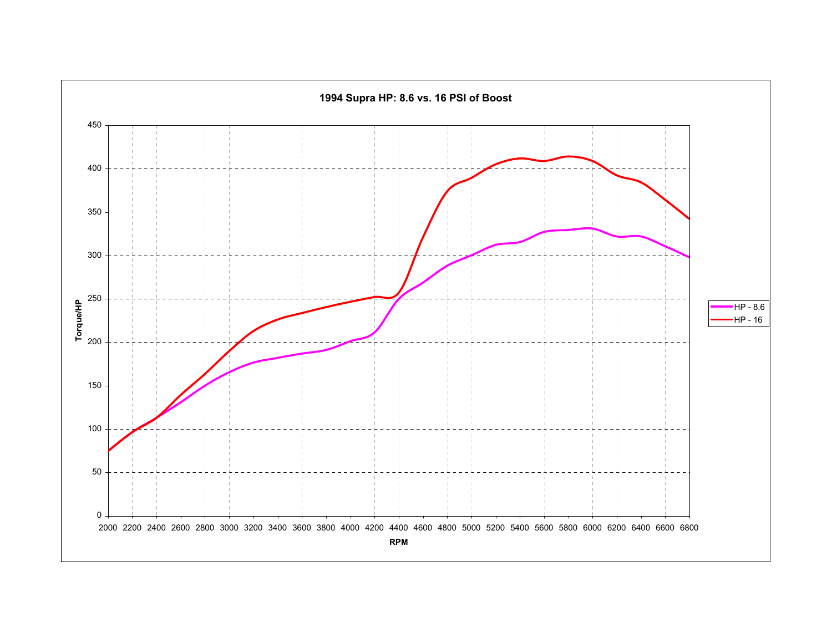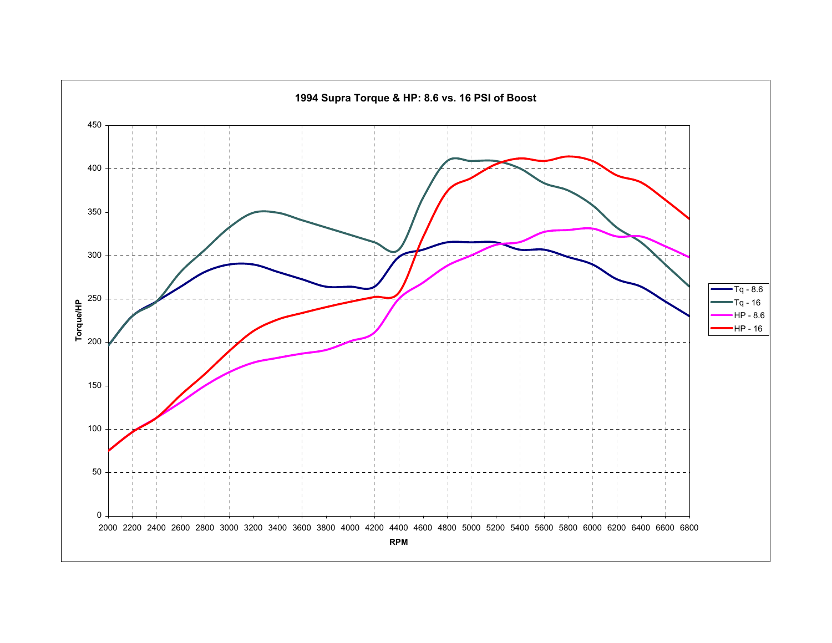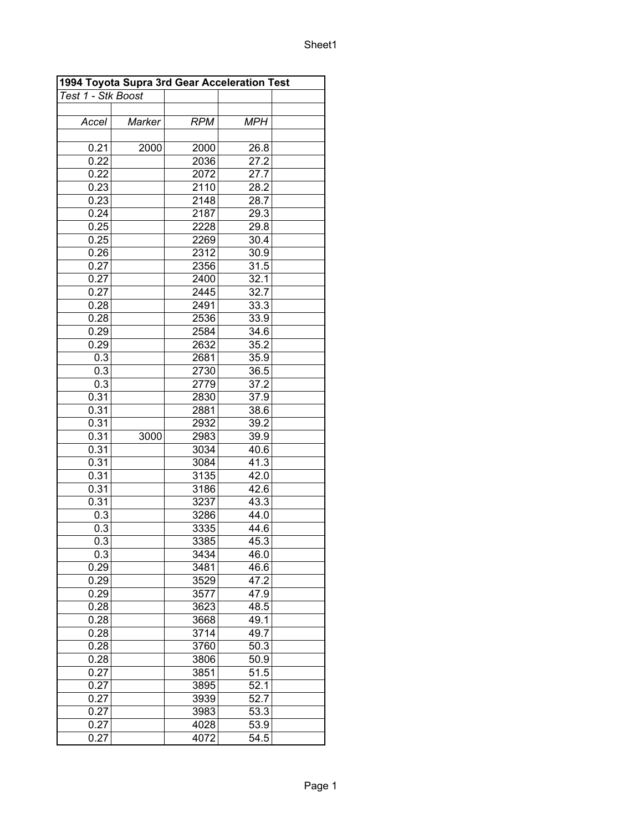|                    | 1994 Toyota Supra 3rd Gear Acceleration Test |            |            |  |
|--------------------|----------------------------------------------|------------|------------|--|
| Test 1 - Stk Boost |                                              |            |            |  |
|                    |                                              |            |            |  |
| Accel              | Marker                                       | <b>RPM</b> | <b>MPH</b> |  |
|                    |                                              |            |            |  |
| 0.21               | 2000                                         | 2000       | 26.8       |  |
| 0.22               |                                              | 2036       | 27.2       |  |
| 0.22               |                                              | 2072       | 27.7       |  |
| 0.23               |                                              | 2110       | 28.2       |  |
| 0.23               |                                              | 2148       | 28.7       |  |
| 0.24               |                                              | 2187       | 29.3       |  |
| 0.25               |                                              | 2228       | 29.8       |  |
| 0.25               |                                              | 2269       | 30.4       |  |
| 0.26               |                                              | 2312       | 30.9       |  |
| 0.27               |                                              | 2356       | 31.5       |  |
| 0.27               |                                              | 2400       | 32.1       |  |
| 0.27               |                                              | 2445       | 32.7       |  |
| 0.28               |                                              | 2491       | 33.3       |  |
| 0.28               |                                              | 2536       | 33.9       |  |
| 0.29               |                                              | 2584       | 34.6       |  |
| 0.29               |                                              | 2632       | 35.2       |  |
| 0.3                |                                              | 2681       | 35.9       |  |
| 0.3                |                                              | 2730       | 36.5       |  |
| 0.3                |                                              | 2779       | 37.2       |  |
| 0.31               |                                              | 2830       | 37.9       |  |
| 0.31               |                                              | 2881       | 38.6       |  |
| 0.31               |                                              | 2932       | 39.2       |  |
| 0.31               | 3000                                         | 2983       | 39.9       |  |
| 0.31               |                                              | 3034       | 40.6       |  |
| 0.31               |                                              | 3084       | 41.3       |  |
| 0.31               |                                              | 3135       | 42.0       |  |
| 0.31               |                                              | 3186       | 42.6       |  |
| 0.31               |                                              | 3237       | 43.3       |  |
| 0.3                |                                              | 3286       | 44.0       |  |
| 0.3                |                                              | 3335       | 44.6       |  |
| 0.3                |                                              | 3385       | 45.3       |  |
| 0.3                |                                              | 3434       | 46.0       |  |
| 0.29               |                                              | 3481       | 46.6       |  |
| 0.29               |                                              | 3529       | 47.2       |  |
| 0.29               |                                              | 3577       | 47.9       |  |
| 0.28               |                                              | 3623       | 48.5       |  |
| 0.28               |                                              | 3668       | 49.1       |  |
| 0.28               |                                              | 3714       | 49.7       |  |
| 0.28               |                                              | 3760       | 50.3       |  |
| 0.28               |                                              | 3806       | 50.9       |  |
| 0.27               |                                              | 3851       | 51.5       |  |
| 0.27               |                                              | 3895       | 52.1       |  |
| 0.27               |                                              | 3939       | 52.7       |  |
| 0.27               |                                              | 3983       | 53.3       |  |
| 0.27               |                                              | 4028       | 53.9       |  |
| 0.27               |                                              | 4072       | 54.5       |  |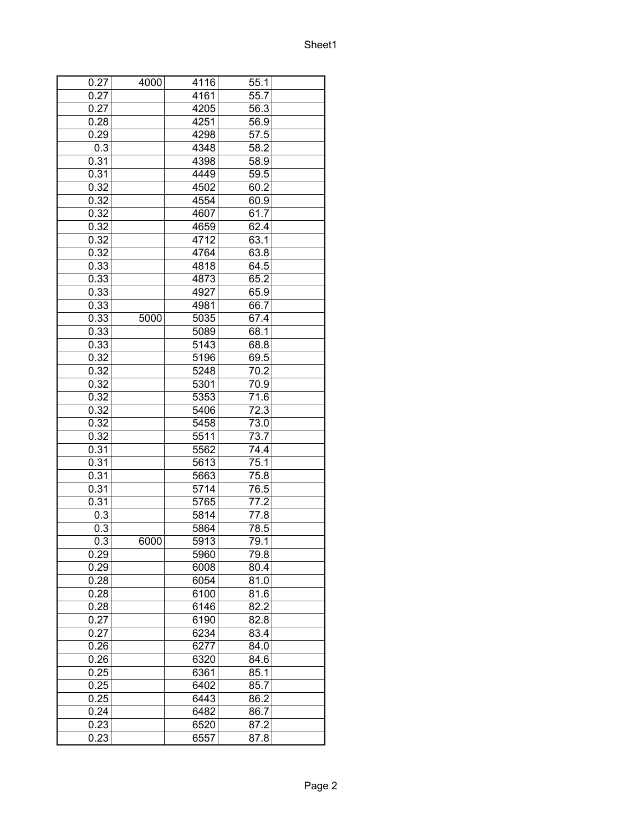| 0.27 | 4000 | 4116 | 55.1 |  |
|------|------|------|------|--|
| 0.27 |      | 4161 | 55.7 |  |
| 0.27 |      | 4205 | 56.3 |  |
| 0.28 |      | 4251 | 56.9 |  |
| 0.29 |      | 4298 | 57.5 |  |
| 0.3  |      | 4348 | 58.2 |  |
| 0.31 |      | 4398 | 58.9 |  |
| 0.31 |      | 4449 | 59.5 |  |
| 0.32 |      | 4502 | 60.2 |  |
| 0.32 |      | 4554 | 60.9 |  |
| 0.32 |      | 4607 | 61.7 |  |
| 0.32 |      | 4659 | 62.4 |  |
| 0.32 |      | 4712 | 63.1 |  |
| 0.32 |      | 4764 | 63.8 |  |
| 0.33 |      | 4818 | 64.5 |  |
| 0.33 |      | 4873 | 65.2 |  |
| 0.33 |      | 4927 | 65.9 |  |
| 0.33 |      | 4981 | 66.7 |  |
| 0.33 | 5000 | 5035 | 67.4 |  |
| 0.33 |      | 5089 | 68.1 |  |
| 0.33 |      | 5143 | 68.8 |  |
| 0.32 |      | 5196 | 69.5 |  |
| 0.32 |      | 5248 | 70.2 |  |
|      |      | 5301 |      |  |
| 0.32 |      |      | 70.9 |  |
| 0.32 |      | 5353 | 71.6 |  |
| 0.32 |      | 5406 | 72.3 |  |
| 0.32 |      | 5458 | 73.0 |  |
| 0.32 |      | 5511 | 73.7 |  |
| 0.31 |      | 5562 | 74.4 |  |
| 0.31 |      | 5613 | 75.1 |  |
| 0.31 |      | 5663 | 75.8 |  |
| 0.31 |      | 5714 | 76.5 |  |
| 0.31 |      | 5765 | 77.2 |  |
| 0.3  |      | 5814 | 77.8 |  |
| 0.3  |      | 5864 | 78.5 |  |
| 0.3  | 6000 | 5913 | 79.1 |  |
| 0.29 |      | 5960 | 79.8 |  |
| 0.29 |      | 6008 | 80.4 |  |
| 0.28 |      | 6054 | 81.0 |  |
| 0.28 |      | 6100 | 81.6 |  |
| 0.28 |      | 6146 | 82.2 |  |
| 0.27 |      | 6190 | 82.8 |  |
| 0.27 |      | 6234 | 83.4 |  |
| 0.26 |      | 6277 | 84.0 |  |
| 0.26 |      | 6320 | 84.6 |  |
| 0.25 |      | 6361 | 85.1 |  |
| 0.25 |      | 6402 | 85.7 |  |
| 0.25 |      | 6443 | 86.2 |  |
| 0.24 |      | 6482 | 86.7 |  |
| 0.23 |      | 6520 | 87.2 |  |
| 0.23 |      | 6557 | 87.8 |  |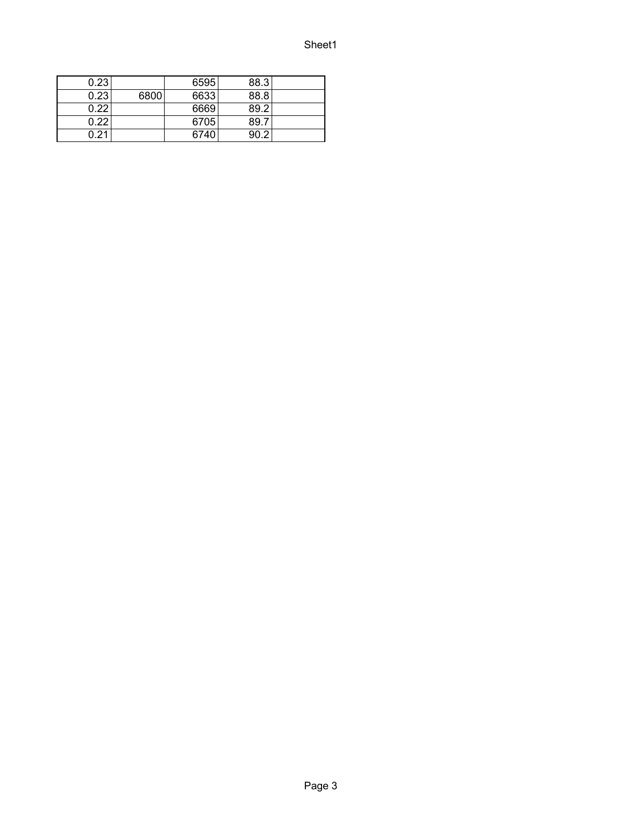| 0.23 |      | 6595 | 88.3 |  |
|------|------|------|------|--|
| 0.23 | 6800 | 6633 | 88.8 |  |
| 0.22 |      | 6669 | 89.2 |  |
| 0.22 |      | 6705 | 89.7 |  |
| በ 21 |      | 6740 | 9N 2 |  |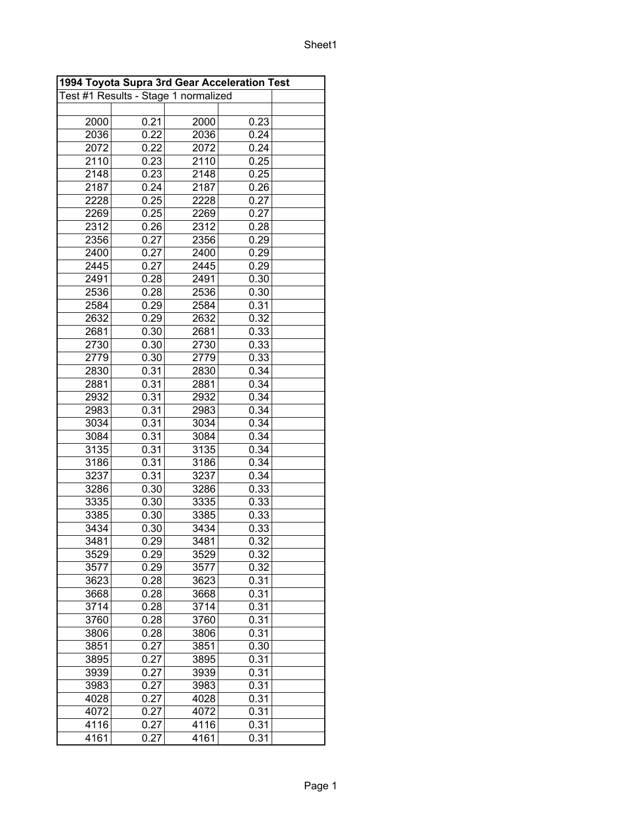| 1994 Toyota Supra 3rd Gear Acceleration Test |      |                                      |      |  |  |
|----------------------------------------------|------|--------------------------------------|------|--|--|
|                                              |      | Test #1 Results - Stage 1 normalized |      |  |  |
|                                              |      |                                      |      |  |  |
| 2000                                         | 0.21 | 2000                                 | 0.23 |  |  |
| 2036                                         | 0.22 | 2036                                 | 0.24 |  |  |
| 2072                                         | 0.22 | 2072                                 | 0.24 |  |  |
| 2110                                         | 0.23 | 2110                                 | 0.25 |  |  |
| 2148                                         | 0.23 | 2148                                 | 0.25 |  |  |
| 2187                                         | 0.24 | 2187                                 | 0.26 |  |  |
| 2228                                         | 0.25 | 2228                                 | 0.27 |  |  |
| 2269                                         | 0.25 | 2269                                 | 0.27 |  |  |
| 2312                                         | 0.26 | 2312                                 | 0.28 |  |  |
| 2356                                         | 0.27 | 2356                                 | 0.29 |  |  |
| 2400                                         | 0.27 | 2400                                 | 0.29 |  |  |
| 2445                                         | 0.27 | 2445                                 | 0.29 |  |  |
| 2491                                         | 0.28 | 2491                                 | 0.30 |  |  |
| 2536                                         | 0.28 | 2536                                 | 0.30 |  |  |
| 2584                                         | 0.29 | 2584                                 | 0.31 |  |  |
| 2632                                         | 0.29 | 2632                                 | 0.32 |  |  |
| 2681                                         | 0.30 | 2681                                 | 0.33 |  |  |
| 2730                                         | 0.30 | 2730                                 | 0.33 |  |  |
| 2779                                         | 0.30 | 2779                                 | 0.33 |  |  |
| 2830                                         | 0.31 | 2830                                 | 0.34 |  |  |
| 2881                                         | 0.31 | 2881                                 | 0.34 |  |  |
| 2932                                         | 0.31 | 2932                                 | 0.34 |  |  |
| 2983                                         | 0.31 | 2983                                 | 0.34 |  |  |
| 3034                                         | 0.31 | 3034                                 | 0.34 |  |  |
| 3084                                         | 0.31 | 3084                                 | 0.34 |  |  |
| 3135                                         | 0.31 | 3135                                 | 0.34 |  |  |
| 3186                                         | 0.31 | 3186                                 | 0.34 |  |  |
| 3237                                         | 0.31 | 3237                                 | 0.34 |  |  |
| 3286                                         | 0.30 | 3286                                 | 0.33 |  |  |
| 3335                                         | 0.30 | 3335                                 | 0.33 |  |  |
| 3385                                         | 0.30 | 3385                                 | 0.33 |  |  |
| 3434                                         | 0.30 | 3434                                 | 0.33 |  |  |
| 3481                                         | 0.29 | 3481                                 | 0.32 |  |  |
| 3529                                         | 0.29 | 3529                                 | 0.32 |  |  |
| 3577                                         | 0.29 | 3577                                 | 0.32 |  |  |
| 3623                                         | 0.28 | 3623                                 | 0.31 |  |  |
| 3668                                         | 0.28 | 3668                                 | 0.31 |  |  |
| 3714                                         | 0.28 | 3714                                 | 0.31 |  |  |
| 3760                                         | 0.28 | 3760                                 | 0.31 |  |  |
| 3806                                         | 0.28 | 3806                                 | 0.31 |  |  |
| 3851                                         | 0.27 | 3851                                 | 0.30 |  |  |
| 3895                                         | 0.27 | 3895                                 | 0.31 |  |  |
| 3939                                         | 0.27 | 3939                                 | 0.31 |  |  |
| 3983                                         | 0.27 | 3983                                 | 0.31 |  |  |
| 4028                                         | 0.27 | 4028                                 | 0.31 |  |  |
| 4072                                         | 0.27 | 4072                                 | 0.31 |  |  |
| 4116                                         | 0.27 | 4116                                 | 0.31 |  |  |
| 4161                                         | 0.27 | 4161                                 | 0.31 |  |  |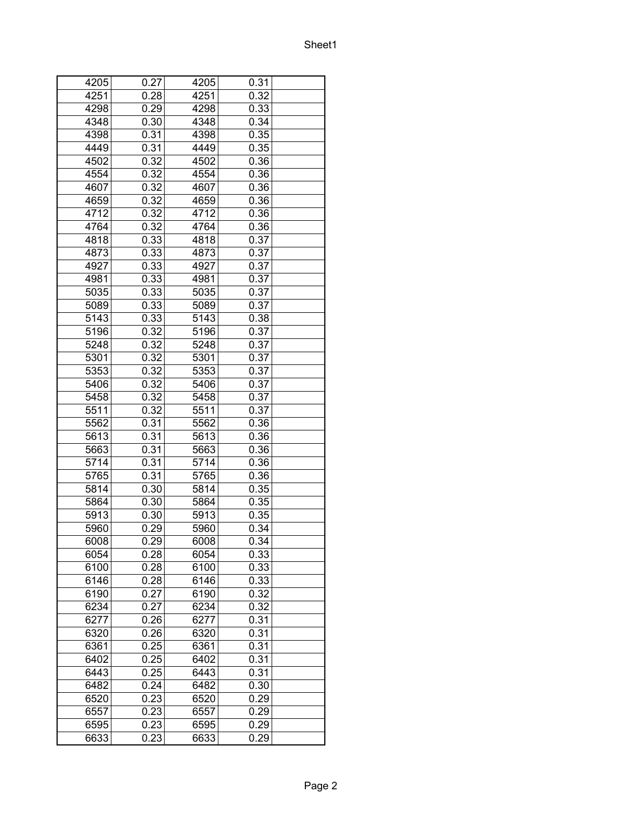| 4205 | 0.27 | 4205 | 0.31 |  |
|------|------|------|------|--|
| 4251 | 0.28 | 4251 | 0.32 |  |
| 4298 | 0.29 | 4298 | 0.33 |  |
| 4348 | 0.30 | 4348 | 0.34 |  |
| 4398 | 0.31 | 4398 | 0.35 |  |
| 4449 | 0.31 | 4449 | 0.35 |  |
| 4502 | 0.32 | 4502 | 0.36 |  |
| 4554 | 0.32 | 4554 | 0.36 |  |
| 4607 | 0.32 | 4607 | 0.36 |  |
| 4659 | 0.32 | 4659 | 0.36 |  |
| 4712 | 0.32 | 4712 | 0.36 |  |
| 4764 | 0.32 | 4764 | 0.36 |  |
| 4818 | 0.33 | 4818 | 0.37 |  |
| 4873 | 0.33 | 4873 | 0.37 |  |
| 4927 | 0.33 | 4927 | 0.37 |  |
| 4981 | 0.33 | 4981 | 0.37 |  |
| 5035 |      |      |      |  |
|      | 0.33 | 5035 | 0.37 |  |
| 5089 | 0.33 | 5089 | 0.37 |  |
| 5143 | 0.33 | 5143 | 0.38 |  |
| 5196 | 0.32 | 5196 | 0.37 |  |
| 5248 | 0.32 | 5248 | 0.37 |  |
| 5301 | 0.32 | 5301 | 0.37 |  |
| 5353 | 0.32 | 5353 | 0.37 |  |
| 5406 | 0.32 | 5406 | 0.37 |  |
| 5458 | 0.32 | 5458 | 0.37 |  |
| 5511 | 0.32 | 5511 | 0.37 |  |
| 5562 | 0.31 | 5562 | 0.36 |  |
| 5613 | 0.31 | 5613 | 0.36 |  |
| 5663 | 0.31 | 5663 | 0.36 |  |
| 5714 | 0.31 | 5714 | 0.36 |  |
| 5765 | 0.31 | 5765 | 0.36 |  |
| 5814 | 0.30 | 5814 | 0.35 |  |
| 5864 | 0.30 | 5864 | 0.35 |  |
| 5913 | 0.30 | 5913 | 0.35 |  |
| 5960 | 0.29 | 5960 | 0.34 |  |
| 6008 | 0.29 | 6008 | 0.34 |  |
| 6054 | 0.28 | 6054 | 0.33 |  |
| 6100 | 0.28 | 6100 | 0.33 |  |
| 6146 | 0.28 | 6146 | 0.33 |  |
| 6190 | 0.27 | 6190 | 0.32 |  |
| 6234 | 0.27 | 6234 | 0.32 |  |
| 6277 | 0.26 | 6277 | 0.31 |  |
| 6320 | 0.26 | 6320 | 0.31 |  |
| 6361 | 0.25 | 6361 | 0.31 |  |
| 6402 | 0.25 | 6402 | 0.31 |  |
| 6443 | 0.25 | 6443 | 0.31 |  |
| 6482 | 0.24 | 6482 | 0.30 |  |
|      |      |      |      |  |
| 6520 | 0.23 | 6520 | 0.29 |  |
| 6557 | 0.23 | 6557 | 0.29 |  |
| 6595 | 0.23 | 6595 | 0.29 |  |
| 6633 | 0.23 | 6633 | 0.29 |  |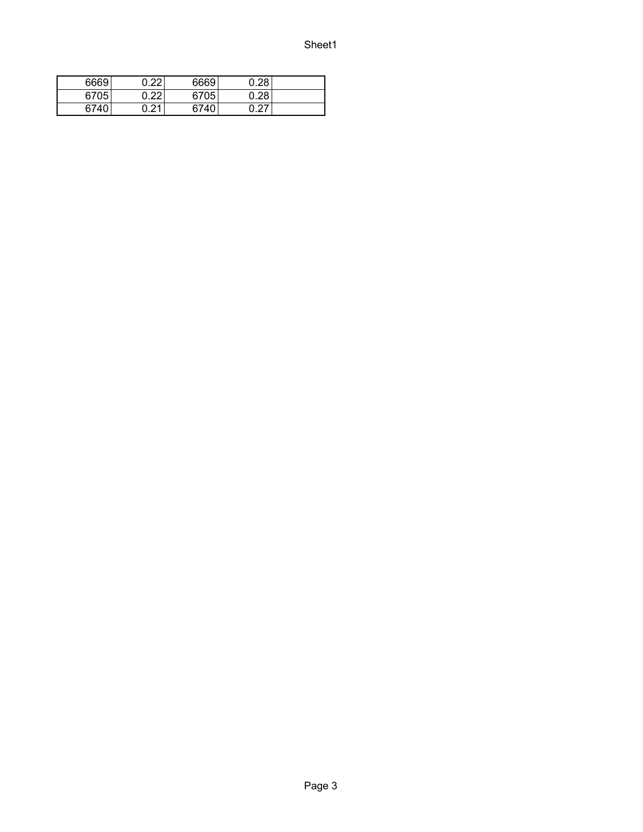| 6669 | በ 22 | 6669 | 0.28             |  |
|------|------|------|------------------|--|
| 6705 | ስ ኃኃ | 6705 | 0.28             |  |
| 6740 | ∩ ጋ1 | 6740 | <u>በ 27</u><br>∠ |  |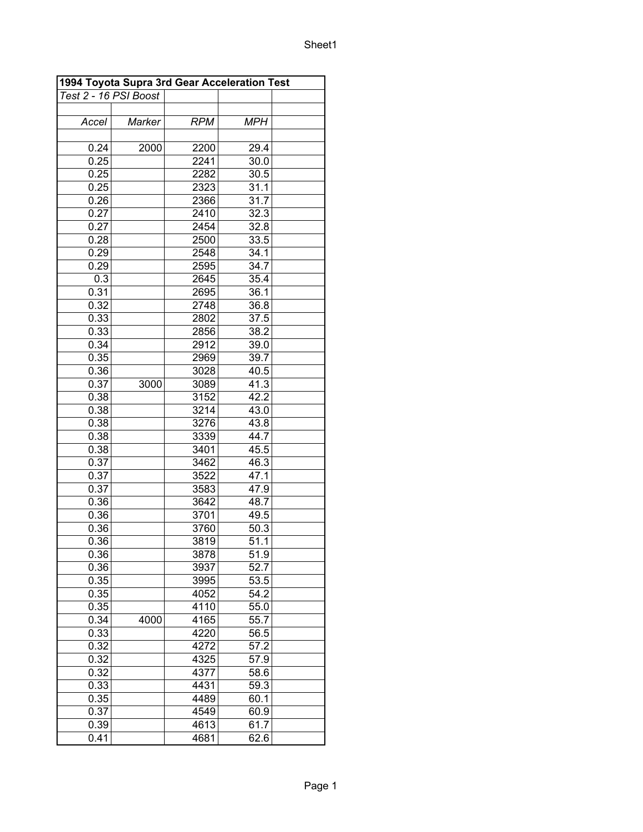|                       | 1994 Toyota Supra 3rd Gear Acceleration Test |            |                    |  |
|-----------------------|----------------------------------------------|------------|--------------------|--|
| Test 2 - 16 PSI Boost |                                              |            |                    |  |
|                       |                                              |            |                    |  |
| Accel                 | Marker                                       | <b>RPM</b> | <b>MPH</b>         |  |
|                       |                                              |            |                    |  |
| 0.24                  | 2000                                         | 2200       | 29.4               |  |
| 0.25                  |                                              | 2241       | 30.0               |  |
| 0.25                  |                                              | 2282       | 30.5               |  |
| 0.25                  |                                              | 2323       | 31.1               |  |
| 0.26                  |                                              | 2366       | 31.7               |  |
| 0.27                  |                                              | 2410       | 32.3               |  |
| 0.27                  |                                              | 2454       | 32.8               |  |
| 0.28                  |                                              | 2500       | 33.5               |  |
| 0.29                  |                                              | 2548       | 34.1               |  |
| 0.29                  |                                              | 2595       | 34.7               |  |
| 0.3                   |                                              | 2645       | 35.4               |  |
| 0.31                  |                                              | 2695       | 36.1               |  |
| 0.32                  |                                              | 2748       | 36.8               |  |
| 0.33                  |                                              | 2802       | 37.5               |  |
| 0.33                  |                                              | 2856       | 38.2               |  |
| 0.34                  |                                              | 2912       | 39.0               |  |
|                       |                                              |            |                    |  |
| 0.35                  |                                              | 2969       | 39.7               |  |
| 0.36                  |                                              | 3028       | 40.5               |  |
| 0.37                  | 3000                                         | 3089       | 41.3               |  |
| 0.38                  |                                              | 3152       | 42.2               |  |
| 0.38                  |                                              | 3214       | 43.0               |  |
| 0.38                  |                                              | 3276       | 43.8               |  |
| 0.38                  |                                              | 3339       | 44.7               |  |
| 0.38                  |                                              | 3401       | 45.5               |  |
| 0.37                  |                                              | 3462       | 46.3               |  |
| 0.37                  |                                              | 3522       | 47.1               |  |
| 0.37                  |                                              | 3583       | 47.9               |  |
| 0.36                  |                                              | 3642       | 48.7               |  |
| 0.36                  |                                              | 3701       | 49.5               |  |
| 0.36                  |                                              | 3760       | 50.3               |  |
| 0.36                  |                                              | 3819       | 51.1               |  |
| 0.36                  |                                              | 3878       | 51.9               |  |
| 0.36                  |                                              | 3937       | 52.7               |  |
| 0.35                  |                                              | 3995       | 53.5               |  |
| 0.35                  |                                              | 4052       | 54.2               |  |
| 0.35                  |                                              | 4110       | 55.0               |  |
| 0.34                  | 4000                                         | 4165       | 55.7               |  |
| 0.33                  |                                              | 4220       | 56.5               |  |
| 0.32                  |                                              | 4272       | 57.2               |  |
| 0.32                  |                                              | 4325       | 57.9               |  |
| 0.32                  |                                              | 4377       | 58.6               |  |
| 0.33                  |                                              | 4431       | 59.3               |  |
| 0.35                  |                                              | 4489       | 60.1               |  |
| 0.37                  |                                              | 4549       | 60.9               |  |
| 0.39                  |                                              | 4613       | 61.7               |  |
| 0.41                  |                                              | 4681       | $\overline{6}$ 2.6 |  |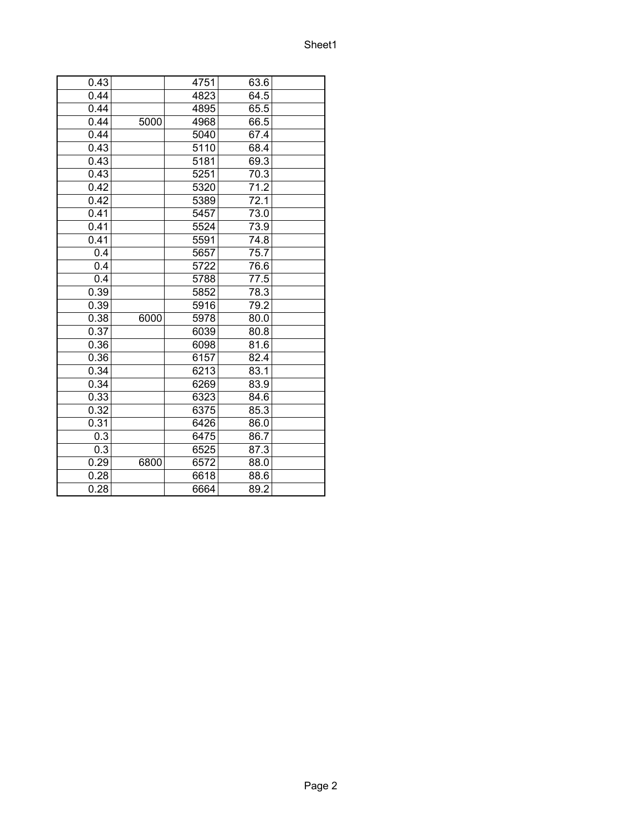| 0.43 |      | 4751 | 63.6              |  |
|------|------|------|-------------------|--|
| 0.44 |      | 4823 | 64.5              |  |
| 0.44 |      | 4895 | 65.5              |  |
| 0.44 | 5000 | 4968 | 66.5              |  |
| 0.44 |      | 5040 | 67.4              |  |
| 0.43 |      | 5110 | 68.4              |  |
| 0.43 |      | 5181 | 69.3              |  |
| 0.43 |      | 5251 | 70.3              |  |
| 0.42 |      | 5320 | 71.2              |  |
| 0.42 |      | 5389 | 72.1              |  |
| 0.41 |      | 5457 | 73.0              |  |
| 0.41 |      | 5524 | 73.9              |  |
| 0.41 |      | 5591 | 74.8              |  |
| 0.4  |      | 5657 | 75.7              |  |
| 0.4  |      | 5722 | $\overline{7}6.6$ |  |
| 0.4  |      | 5788 | 77.5              |  |
| 0.39 |      | 5852 | 78.3              |  |
| 0.39 |      | 5916 | 79.2              |  |
| 0.38 | 6000 | 5978 | 80.0              |  |
| 0.37 |      | 6039 | 80.8              |  |
| 0.36 |      | 6098 | 81.6              |  |
| 0.36 |      | 6157 | 82.4              |  |
| 0.34 |      | 6213 | 83.1              |  |
| 0.34 |      | 6269 | 83.9              |  |
| 0.33 |      | 6323 | 84.6              |  |
| 0.32 |      | 6375 | 85.3              |  |
| 0.31 |      | 6426 | 86.0              |  |
| 0.3  |      | 6475 | 86.7              |  |
| 0.3  |      | 6525 | 87.3              |  |
| 0.29 | 6800 | 6572 | 88.0              |  |
| 0.28 |      | 6618 | 88.6              |  |
| 0.28 |      | 6664 | 89.2              |  |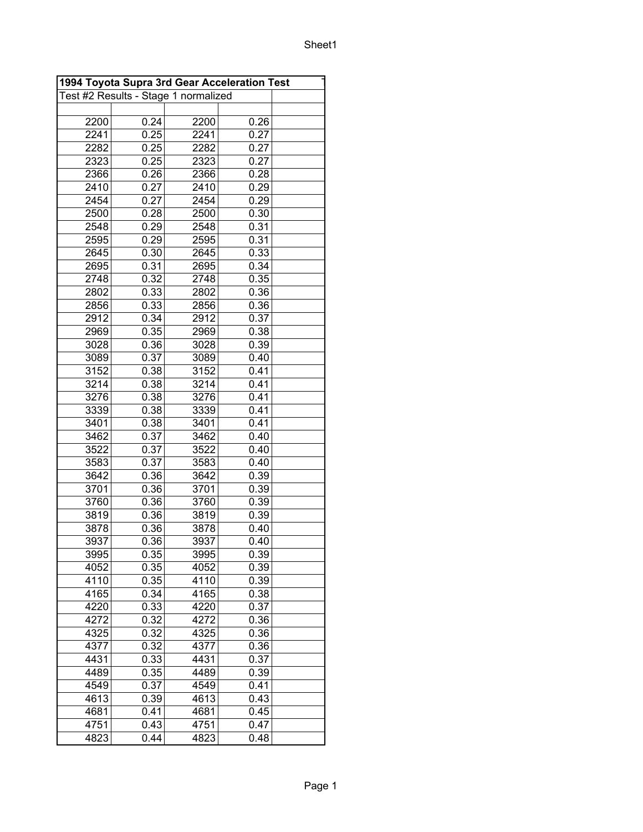|      | 1994 Toyota Supra 3rd Gear Acceleration Test |                                      |      |  |  |  |
|------|----------------------------------------------|--------------------------------------|------|--|--|--|
|      |                                              | Test #2 Results - Stage 1 normalized |      |  |  |  |
|      |                                              |                                      |      |  |  |  |
| 2200 | 0.24                                         | 2200                                 | 0.26 |  |  |  |
| 2241 | 0.25                                         | 2241                                 | 0.27 |  |  |  |
| 2282 | 0.25                                         | 2282                                 | 0.27 |  |  |  |
| 2323 | 0.25                                         | 2323                                 | 0.27 |  |  |  |
| 2366 | 0.26                                         | 2366                                 | 0.28 |  |  |  |
| 2410 | 0.27                                         | 2410                                 | 0.29 |  |  |  |
| 2454 | 0.27                                         | 2454                                 | 0.29 |  |  |  |
| 2500 | 0.28                                         | 2500                                 | 0.30 |  |  |  |
| 2548 | 0.29                                         | 2548                                 | 0.31 |  |  |  |
| 2595 | 0.29                                         | 2595                                 | 0.31 |  |  |  |
| 2645 | 0.30                                         | 2645                                 | 0.33 |  |  |  |
| 2695 | 0.31                                         | 2695                                 | 0.34 |  |  |  |
| 2748 | 0.32                                         | 2748                                 | 0.35 |  |  |  |
| 2802 | 0.33                                         | 2802                                 | 0.36 |  |  |  |
| 2856 | 0.33                                         | 2856                                 | 0.36 |  |  |  |
| 2912 | 0.34                                         | 2912                                 | 0.37 |  |  |  |
| 2969 | 0.35                                         | 2969                                 | 0.38 |  |  |  |
| 3028 | 0.36                                         | 3028                                 | 0.39 |  |  |  |
| 3089 | 0.37                                         | 3089                                 | 0.40 |  |  |  |
| 3152 | 0.38                                         | 3152                                 | 0.41 |  |  |  |
| 3214 | 0.38                                         | 3214                                 | 0.41 |  |  |  |
|      |                                              |                                      | 0.41 |  |  |  |
| 3276 | 0.38                                         | 3276                                 |      |  |  |  |
| 3339 | 0.38                                         | 3339                                 | 0.41 |  |  |  |
| 3401 | 0.38                                         | 3401                                 | 0.41 |  |  |  |
| 3462 | 0.37                                         | 3462                                 | 0.40 |  |  |  |
| 3522 | 0.37                                         | 3522                                 | 0.40 |  |  |  |
| 3583 | 0.37                                         | 3583                                 | 0.40 |  |  |  |
| 3642 | 0.36                                         | 3642                                 | 0.39 |  |  |  |
| 3701 | 0.36                                         | 3701                                 | 0.39 |  |  |  |
| 3760 | 0.36                                         | 3760                                 | 0.39 |  |  |  |
| 3819 | 0.36                                         | 3819                                 | 0.39 |  |  |  |
| 3878 | 0.36                                         | 3878                                 | 0.40 |  |  |  |
| 3937 | 0.36                                         | 3937                                 | 0.40 |  |  |  |
| 3995 | 0.35                                         | 3995                                 | 0.39 |  |  |  |
| 4052 | 0.35                                         | 4052                                 | 0.39 |  |  |  |
| 4110 | 0.35                                         | 4110                                 | 0.39 |  |  |  |
| 4165 | 0.34                                         | 4165                                 | 0.38 |  |  |  |
| 4220 | 0.33                                         | 4220                                 | 0.37 |  |  |  |
| 4272 | 0.32                                         | 4272                                 | 0.36 |  |  |  |
| 4325 | 0.32                                         | 4325                                 | 0.36 |  |  |  |
| 4377 | 0.32                                         | 4377                                 | 0.36 |  |  |  |
| 4431 | 0.33                                         | 4431                                 | 0.37 |  |  |  |
| 4489 | 0.35                                         | 4489                                 | 0.39 |  |  |  |
| 4549 | 0.37                                         | 4549                                 | 0.41 |  |  |  |
| 4613 | 0.39                                         | 4613                                 | 0.43 |  |  |  |
| 4681 | 0.41                                         | 4681                                 | 0.45 |  |  |  |
| 4751 | 0.43                                         | 4751                                 | 0.47 |  |  |  |
| 4823 | 0.44                                         | 4823                                 | 0.48 |  |  |  |